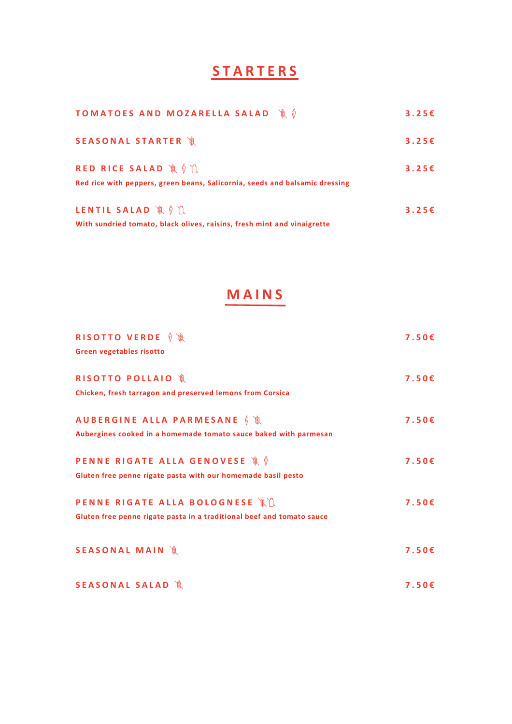### **S T A R T E R S**

| <b>TOMATOES AND MOZARELLA SALAD  ®</b> ♦                                                            | 3.25E |
|-----------------------------------------------------------------------------------------------------|-------|
| SEASONAL STARTER 1                                                                                  | 3.25E |
| RED RICE SALAD A O I<br>Red rice with peppers, green beans, Salicornia, seeds and balsamic dressing | 3.25E |
| LENTIL SALAD 浪貞 1<br>With sundried tomato, black olives, raisins, fresh mint and vinaigrette        | 3.25E |

### **M A I N S**

| <b>RISOTTO VERDE ≬ %</b>                                              | 7.50E |
|-----------------------------------------------------------------------|-------|
| Green vegetables risotto                                              |       |
| <b>RISOTTO POLLAIO 1</b>                                              | 7.50E |
| Chicken, fresh tarragon and preserved lemons from Corsica             |       |
| AUBERGINE ALLA PARMESANE 前 讓                                          | 7.50E |
| Aubergines cooked in a homemade tomato sauce baked with parmesan      |       |
| <b>PENNE RIGATE ALLA GENOVESE Å ♦</b>                                 | 7.50E |
| Gluten free penne rigate pasta with our homemade basil pesto          |       |
| PENNE RIGATE ALLA BOLOGNESE 滚瓜                                        | 7.50E |
| Gluten free penne rigate pasta in a traditional beef and tomato sauce |       |
| <b>SEASONAL MAIN</b> 1 1                                              | 7.50E |
|                                                                       |       |
| <b>SEASONAL SALAD</b> 1                                               | 7.50E |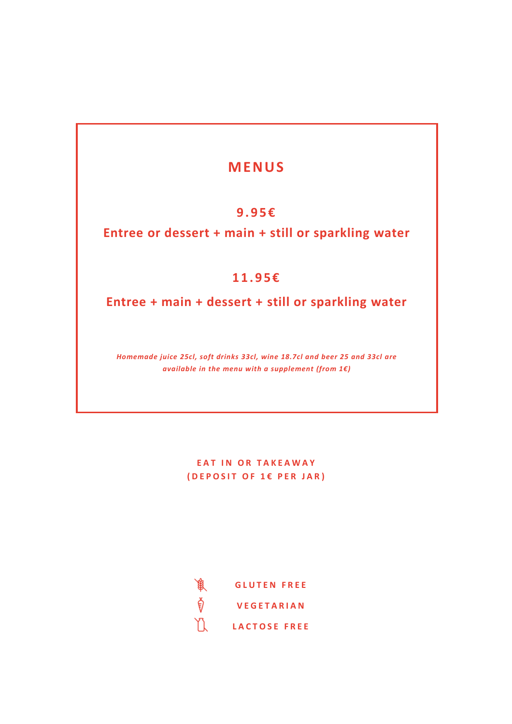### **MEN US**

#### **9. 9 5 €**

**Entree or dessert + main + still or sparkling water**

#### **11. 9 5 €**

**Entree + main + dessert + still or sparkling water**

*Homemade juice 25cl, soft drinks 33cl, wine 18.7cl and beer 25 and 33cl are available in the menu with a supplement (from 1€)*

> **EAT IN OR TAKEAWAY ( D E P O S I T O F 1 € P E R J A R )**